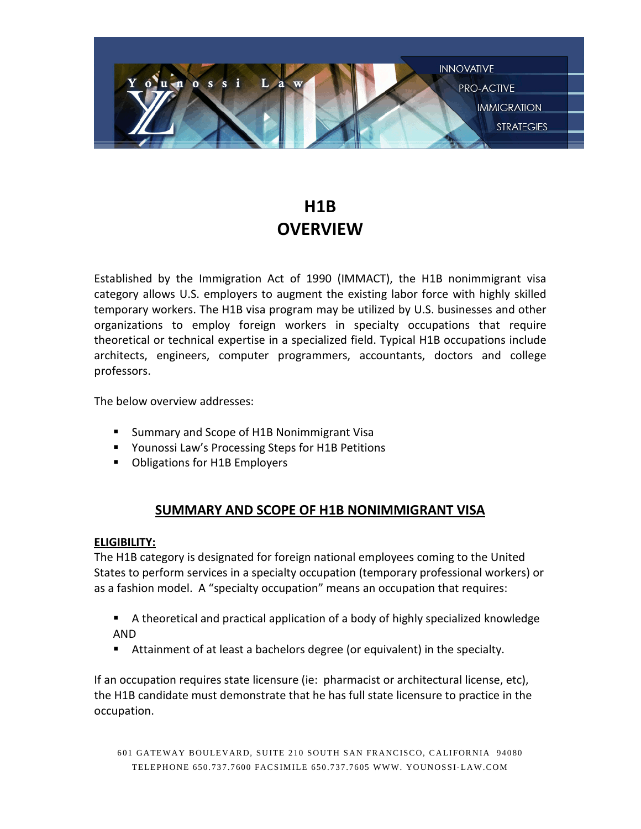

# **H1B OVERVIEW**

Established by the Immigration Act of 1990 (IMMACT), the H1B nonimmigrant visa category allows U.S. employers to augment the existing labor force with highly skilled temporary workers. The H1B visa program may be utilized by U.S. businesses and other organizations to employ foreign workers in specialty occupations that require theoretical or technical expertise in a specialized field. Typical H1B occupations include architects, engineers, computer programmers, accountants, doctors and college professors.

The below overview addresses:

- **E** Summary and Scope of H1B Nonimmigrant Visa
- **The Processing Steps for H1B Petitions**
- **Diangle 13 Divides** Obligations for H1B Employers

# **SUMMARY AND SCOPE OF H1B NONIMMIGRANT VISA**

## **ELIGIBILITY:**

The H1B category is designated for foreign national employees coming to the United States to perform services in a specialty occupation (temporary professional workers) or as a fashion model. A "specialty occupation" means an occupation that requires:

- A theoretical and practical application of a body of highly specialized knowledge AND
- Attainment of at least a bachelors degree (or equivalent) in the specialty.

If an occupation requires state licensure (ie: pharmacist or architectural license, etc), the H1B candidate must demonstrate that he has full state licensure to practice in the occupation.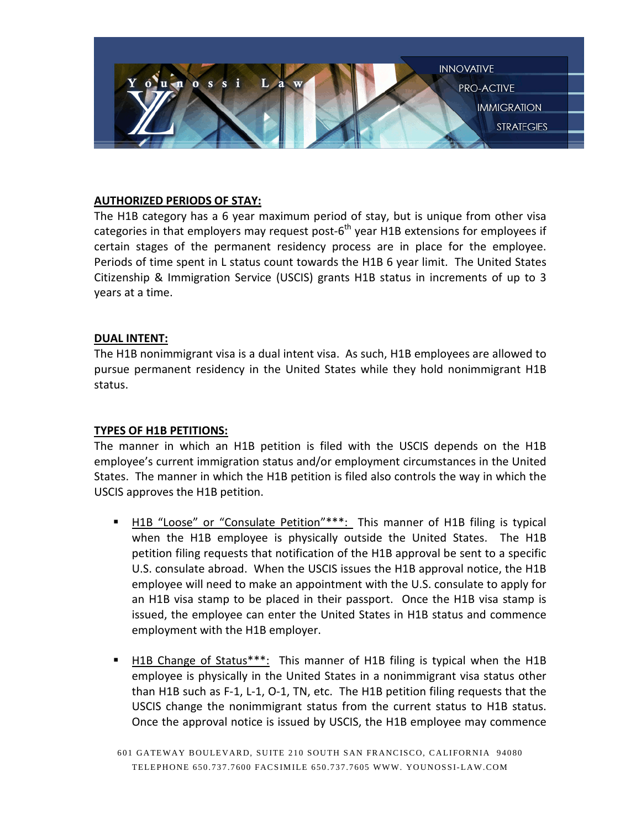

## **AUTHORIZED PERIODS OF STAY:**

The H1B category has a 6 year maximum period of stay, but is unique from other visa categories in that employers may request post- $6<sup>th</sup>$  year H1B extensions for employees if certain stages of the permanent residency process are in place for the employee. Periods of time spent in L status count towards the H1B 6 year limit. The United States Citizenship & Immigration Service (USCIS) grants H1B status in increments of up to 3 years at a time.

#### **DUAL INTENT:**

The H1B nonimmigrant visa is a dual intent visa. As such, H1B employees are allowed to pursue permanent residency in the United States while they hold nonimmigrant H1B status.

#### **TYPES OF H1B PETITIONS:**

The manner in which an H1B petition is filed with the USCIS depends on the H1B employee's current immigration status and/or employment circumstances in the United States. The manner in which the H1B petition is filed also controls the way in which the USCIS approves the H1B petition.

- H1B "Loose" or "Consulate Petition"\*\*\*: This manner of H1B filing is typical when the H1B employee is physically outside the United States. The H1B petition filing requests that notification of the H1B approval be sent to a specific U.S. consulate abroad. When the USCIS issues the H1B approval notice, the H1B employee will need to make an appointment with the U.S. consulate to apply for an H1B visa stamp to be placed in their passport. Once the H1B visa stamp is issued, the employee can enter the United States in H1B status and commence employment with the H1B employer.
- H1B Change of Status\*\*\*: This manner of H1B filing is typical when the H1B employee is physically in the United States in a nonimmigrant visa status other than H1B such as F-1, L-1, O-1, TN, etc. The H1B petition filing requests that the USCIS change the nonimmigrant status from the current status to H1B status. Once the approval notice is issued by USCIS, the H1B employee may commence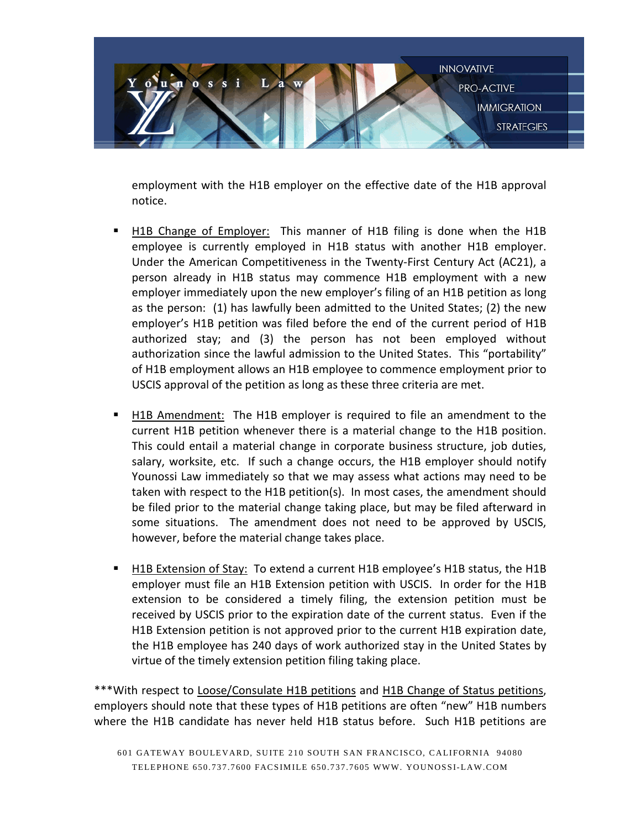

employment with the H1B employer on the effective date of the H1B approval notice.

- H1B Change of Employer: This manner of H1B filing is done when the H1B employee is currently employed in H1B status with another H1B employer. Under the American Competitiveness in the Twenty-First Century Act (AC21), a person already in H1B status may commence H1B employment with a new employer immediately upon the new employer's filing of an H1B petition as long as the person: (1) has lawfully been admitted to the United States; (2) the new employer's H1B petition was filed before the end of the current period of H1B authorized stay; and (3) the person has not been employed without authorization since the lawful admission to the United States. This "portability" of H1B employment allows an H1B employee to commence employment prior to USCIS approval of the petition as long as these three criteria are met.
- H1B Amendment: The H1B employer is required to file an amendment to the current H1B petition whenever there is a material change to the H1B position. This could entail a material change in corporate business structure, job duties, salary, worksite, etc. If such a change occurs, the H1B employer should notify Younossi Law immediately so that we may assess what actions may need to be taken with respect to the H1B petition(s). In most cases, the amendment should be filed prior to the material change taking place, but may be filed afterward in some situations. The amendment does not need to be approved by USCIS, however, before the material change takes place.
- H1B Extension of Stay: To extend a current H1B employee's H1B status, the H1B employer must file an H1B Extension petition with USCIS. In order for the H1B extension to be considered a timely filing, the extension petition must be received by USCIS prior to the expiration date of the current status. Even if the H1B Extension petition is not approved prior to the current H1B expiration date, the H1B employee has 240 days of work authorized stay in the United States by virtue of the timely extension petition filing taking place.

\*\*\*With respect to Loose/Consulate H1B petitions and H1B Change of Status petitions, employers should note that these types of H1B petitions are often "new" H1B numbers where the H1B candidate has never held H1B status before. Such H1B petitions are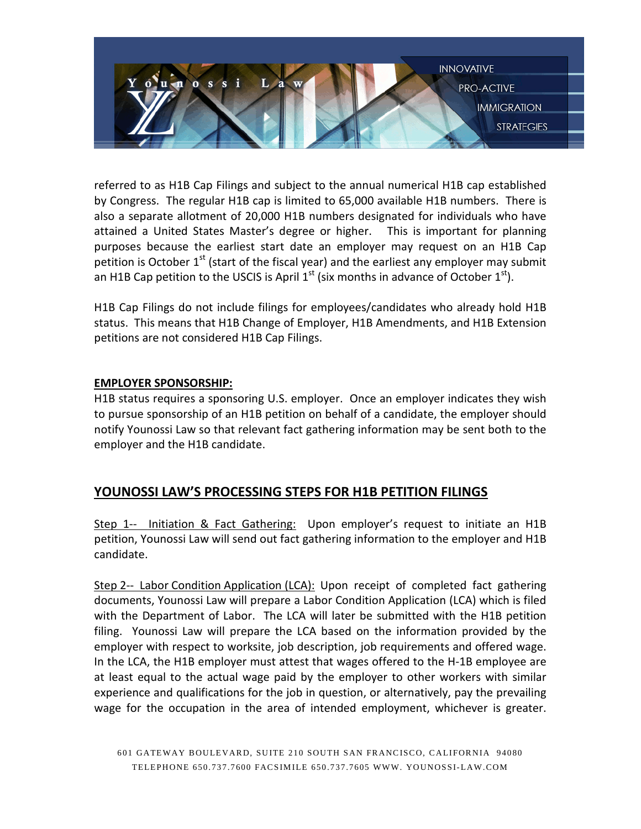

referred to as H1B Cap Filings and subject to the annual numerical H1B cap established by Congress. The regular H1B cap is limited to 65,000 available H1B numbers. There is also a separate allotment of 20,000 H1B numbers designated for individuals who have attained a United States Master's degree or higher. This is important for planning purposes because the earliest start date an employer may request on an H1B Cap petition is October  $1<sup>st</sup>$  (start of the fiscal year) and the earliest any employer may submit an H1B Cap petition to the USCIS is April  $1<sup>st</sup>$  (six months in advance of October  $1<sup>st</sup>$ ).

H1B Cap Filings do not include filings for employees/candidates who already hold H1B status. This means that H1B Change of Employer, H1B Amendments, and H1B Extension petitions are not considered H1B Cap Filings.

## **EMPLOYER SPONSORSHIP:**

H1B status requires a sponsoring U.S. employer. Once an employer indicates they wish to pursue sponsorship of an H1B petition on behalf of a candidate, the employer should notify Younossi Law so that relevant fact gathering information may be sent both to the employer and the H1B candidate.

## **YOUNOSSI LAW'S PROCESSING STEPS FOR H1B PETITION FILINGS**

Step 1-- Initiation & Fact Gathering: Upon employer's request to initiate an H1B petition, Younossi Law will send out fact gathering information to the employer and H1B candidate.

Step 2-- Labor Condition Application (LCA): Upon receipt of completed fact gathering documents, Younossi Law will prepare a Labor Condition Application (LCA) which is filed with the Department of Labor. The LCA will later be submitted with the H1B petition filing. Younossi Law will prepare the LCA based on the information provided by the employer with respect to worksite, job description, job requirements and offered wage. In the LCA, the H1B employer must attest that wages offered to the H-1B employee are at least equal to the actual wage paid by the employer to other workers with similar experience and qualifications for the job in question, or alternatively, pay the prevailing wage for the occupation in the area of intended employment, whichever is greater.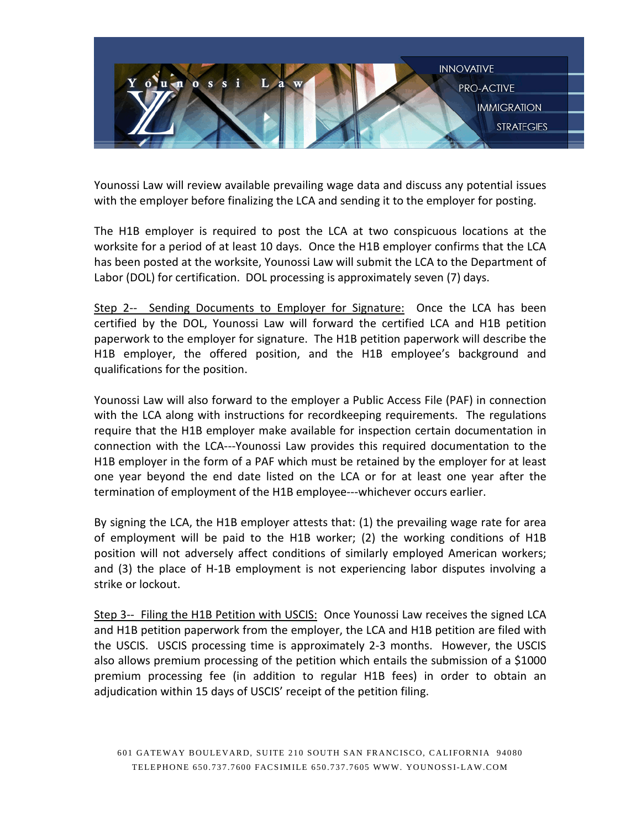

Younossi Law will review available prevailing wage data and discuss any potential issues with the employer before finalizing the LCA and sending it to the employer for posting.

The H1B employer is required to post the LCA at two conspicuous locations at the worksite for a period of at least 10 days. Once the H1B employer confirms that the LCA has been posted at the worksite, Younossi Law will submit the LCA to the Department of Labor (DOL) for certification. DOL processing is approximately seven (7) days.

Step 2-- Sending Documents to Employer for Signature: Once the LCA has been certified by the DOL, Younossi Law will forward the certified LCA and H1B petition paperwork to the employer for signature. The H1B petition paperwork will describe the H1B employer, the offered position, and the H1B employee's background and qualifications for the position.

Younossi Law will also forward to the employer a Public Access File (PAF) in connection with the LCA along with instructions for recordkeeping requirements. The regulations require that the H1B employer make available for inspection certain documentation in connection with the LCA---Younossi Law provides this required documentation to the H1B employer in the form of a PAF which must be retained by the employer for at least one year beyond the end date listed on the LCA or for at least one year after the termination of employment of the H1B employee---whichever occurs earlier.

By signing the LCA, the H1B employer attests that: (1) the prevailing wage rate for area of employment will be paid to the H1B worker; (2) the working conditions of H1B position will not adversely affect conditions of similarly employed American workers; and (3) the place of H-1B employment is not experiencing labor disputes involving a strike or lockout.

Step 3-- Filing the H1B Petition with USCIS: Once Younossi Law receives the signed LCA and H1B petition paperwork from the employer, the LCA and H1B petition are filed with the USCIS. USCIS processing time is approximately 2-3 months. However, the USCIS also allows premium processing of the petition which entails the submission of a \$1000 premium processing fee (in addition to regular H1B fees) in order to obtain an adjudication within 15 days of USCIS' receipt of the petition filing.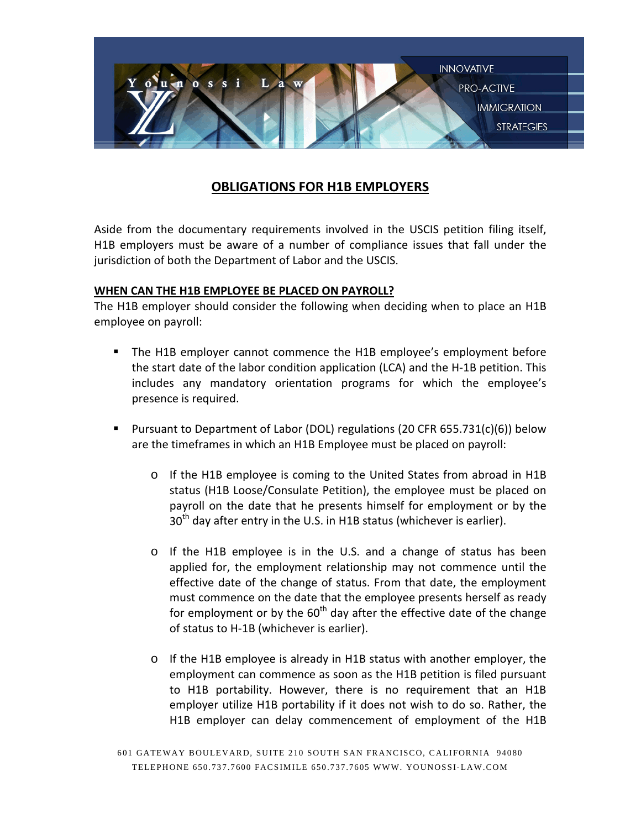

## **OBLIGATIONS FOR H1B EMPLOYERS**

Aside from the documentary requirements involved in the USCIS petition filing itself, H1B employers must be aware of a number of compliance issues that fall under the jurisdiction of both the Department of Labor and the USCIS.

## **WHEN CAN THE H1B EMPLOYEE BE PLACED ON PAYROLL?**

The H1B employer should consider the following when deciding when to place an H1B employee on payroll:

- The H1B employer cannot commence the H1B employee's employment before the start date of the labor condition application (LCA) and the H-1B petition. This includes any mandatory orientation programs for which the employee's presence is required.
- Pursuant to Department of Labor (DOL) regulations (20 CFR 655.731(c)(6)) below are the timeframes in which an H1B Employee must be placed on payroll:
	- o If the H1B employee is coming to the United States from abroad in H1B status (H1B Loose/Consulate Petition), the employee must be placed on payroll on the date that he presents himself for employment or by the  $30<sup>th</sup>$  day after entry in the U.S. in H1B status (whichever is earlier).
	- o If the H1B employee is in the U.S. and a change of status has been applied for, the employment relationship may not commence until the effective date of the change of status. From that date, the employment must commence on the date that the employee presents herself as ready for employment or by the  $60<sup>th</sup>$  day after the effective date of the change of status to H-1B (whichever is earlier).
	- o If the H1B employee is already in H1B status with another employer, the employment can commence as soon as the H1B petition is filed pursuant to H1B portability. However, there is no requirement that an H1B employer utilize H1B portability if it does not wish to do so. Rather, the H1B employer can delay commencement of employment of the H1B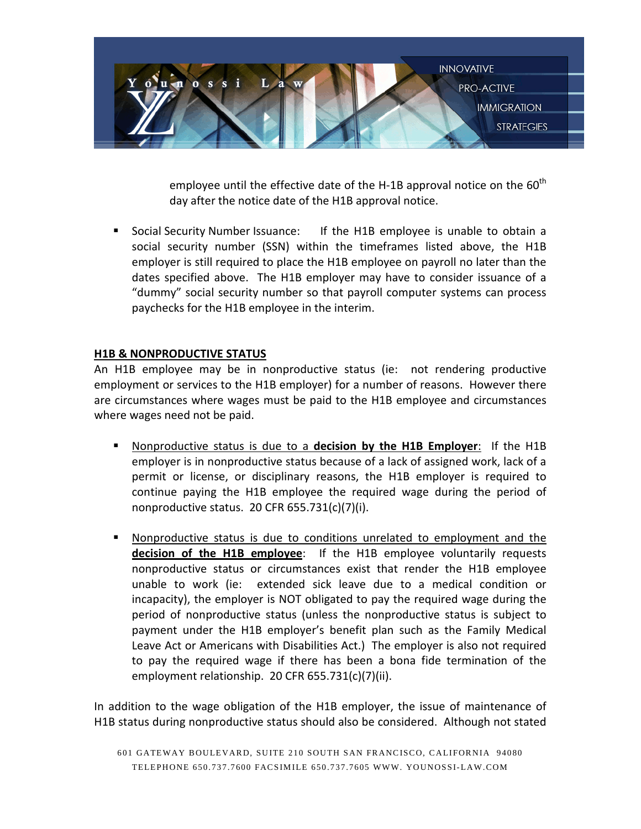

employee until the effective date of the H-1B approval notice on the  $60<sup>th</sup>$ day after the notice date of the H1B approval notice.

**Social Security Number Issuance:** If the H1B employee is unable to obtain a social security number (SSN) within the timeframes listed above, the H1B employer is still required to place the H1B employee on payroll no later than the dates specified above. The H1B employer may have to consider issuance of a "dummy" social security number so that payroll computer systems can process paychecks for the H1B employee in the interim.

## **H1B & NONPRODUCTIVE STATUS**

An H1B employee may be in nonproductive status (ie: not rendering productive employment or services to the H1B employer) for a number of reasons. However there are circumstances where wages must be paid to the H1B employee and circumstances where wages need not be paid.

- Nonproductive status is due to a **decision by the H1B Employer**: If the H1B employer is in nonproductive status because of a lack of assigned work, lack of a permit or license, or disciplinary reasons, the H1B employer is required to continue paying the H1B employee the required wage during the period of nonproductive status. 20 CFR 655.731(c)(7)(i).
- Nonproductive status is due to conditions unrelated to employment and the **decision of the H1B employee**: If the H1B employee voluntarily requests nonproductive status or circumstances exist that render the H1B employee unable to work (ie: extended sick leave due to a medical condition or incapacity), the employer is NOT obligated to pay the required wage during the period of nonproductive status (unless the nonproductive status is subject to payment under the H1B employer's benefit plan such as the Family Medical Leave Act or Americans with Disabilities Act.) The employer is also not required to pay the required wage if there has been a bona fide termination of the employment relationship. 20 CFR 655.731(c)(7)(ii).

In addition to the wage obligation of the H1B employer, the issue of maintenance of H1B status during nonproductive status should also be considered. Although not stated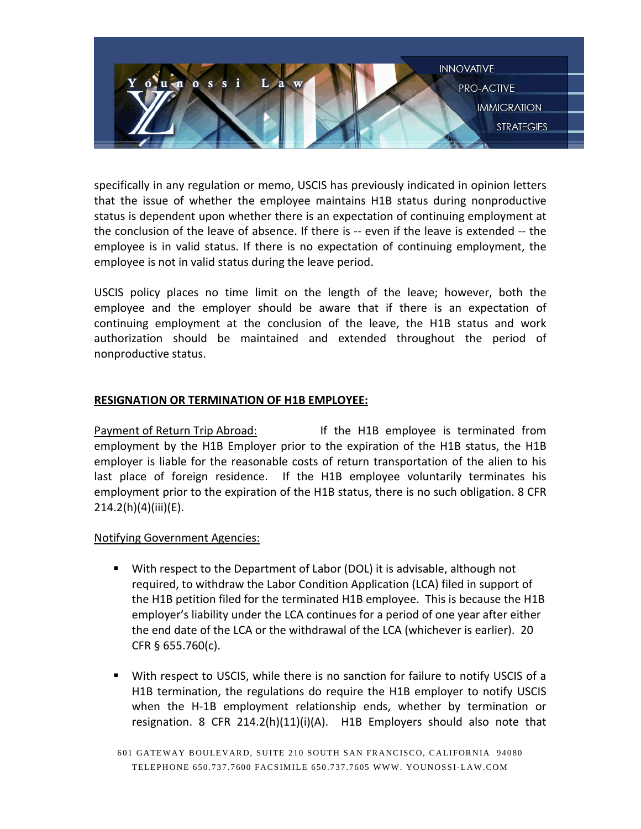

specifically in any regulation or memo, USCIS has previously indicated in opinion letters that the issue of whether the employee maintains H1B status during nonproductive status is dependent upon whether there is an expectation of continuing employment at the conclusion of the leave of absence. If there is -- even if the leave is extended -- the employee is in valid status. If there is no expectation of continuing employment, the employee is not in valid status during the leave period.

USCIS policy places no time limit on the length of the leave; however, both the employee and the employer should be aware that if there is an expectation of continuing employment at the conclusion of the leave, the H1B status and work authorization should be maintained and extended throughout the period of nonproductive status.

## **RESIGNATION OR TERMINATION OF H1B EMPLOYEE:**

Payment of Return Trip Abroad: If the H1B employee is terminated from employment by the H1B Employer prior to the expiration of the H1B status, the H1B employer is liable for the reasonable costs of return transportation of the alien to his last place of foreign residence. If the H1B employee voluntarily terminates his employment prior to the expiration of the H1B status, there is no such obligation. 8 CFR 214.2(h)(4)(iii)(E).

## Notifying Government Agencies:

- With respect to the Department of Labor (DOL) it is advisable, although not required, to withdraw the Labor Condition Application (LCA) filed in support of the H1B petition filed for the terminated H1B employee. This is because the H1B employer's liability under the LCA continues for a period of one year after either the end date of the LCA or the withdrawal of the LCA (whichever is earlier). 20 CFR § 655.760(c).
- With respect to USCIS, while there is no sanction for failure to notify USCIS of a H1B termination, the regulations do require the H1B employer to notify USCIS when the H-1B employment relationship ends, whether by termination or resignation. 8 CFR 214.2(h)(11)(i)(A). H1B Employers should also note that